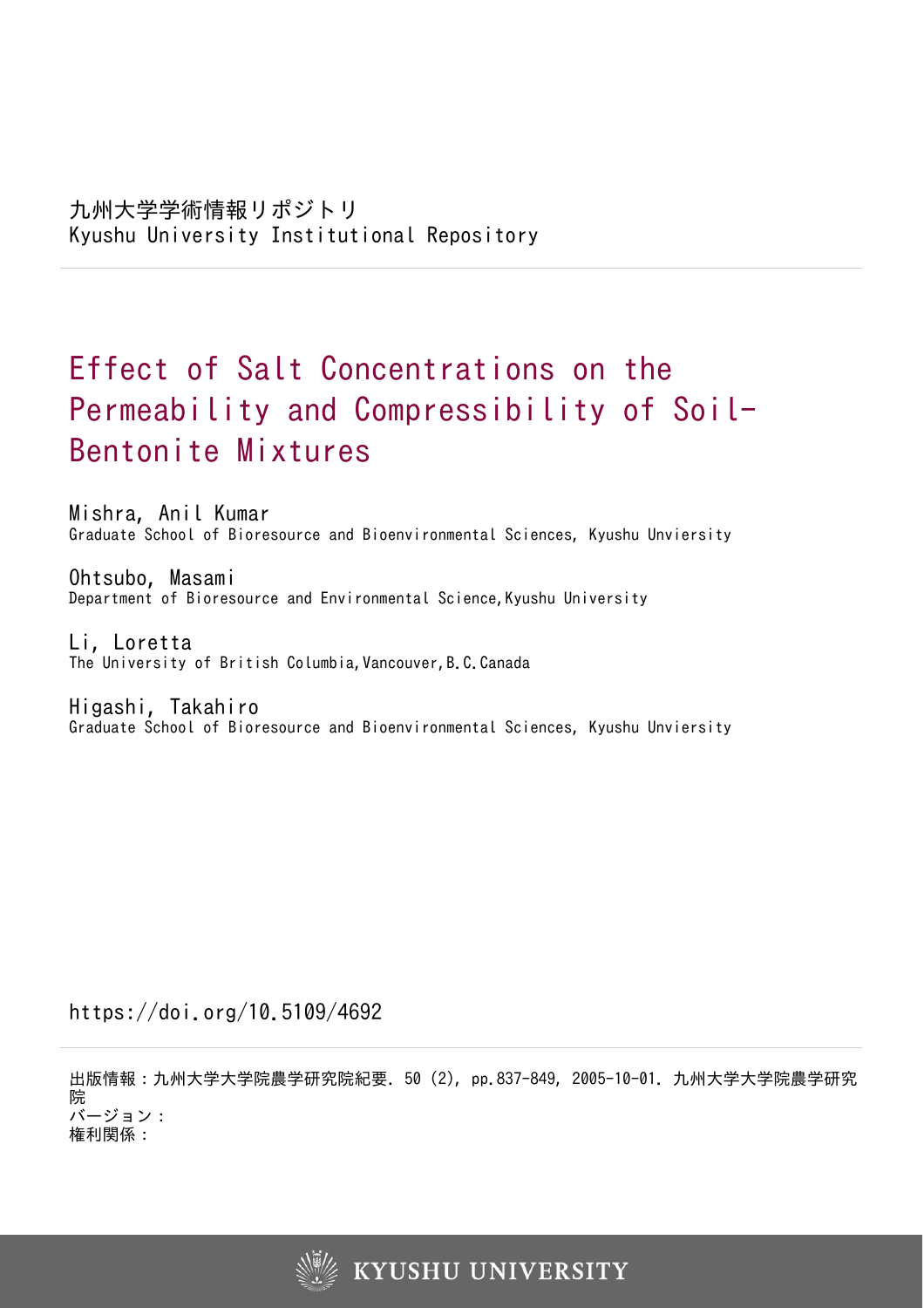# Effect of Salt Concentrations on the Permeability and Compressibility of Soil-Bentonite Mixtures

Mishra, Anil Kumar Graduate School of Bioresource and Bioenvironmental Sciences, Kyushu Unviersity

Ohtsubo, Masami Department of Bioresource and Environmental Science, Kyushu University

Li, Loretta The University of British Columbia, Vancouver, B.C.Canada

Higashi, Takahiro Graduate School of Bioresource and Bioenvironmental Sciences, Kyushu Unviersity

https://doi.org/10.5109/4692

出版情報:九州大学大学院農学研究院紀要. 50 (2), pp.837-849, 2005-10-01. 九州大学大学院農学研究 院 バージョン: 権利関係:

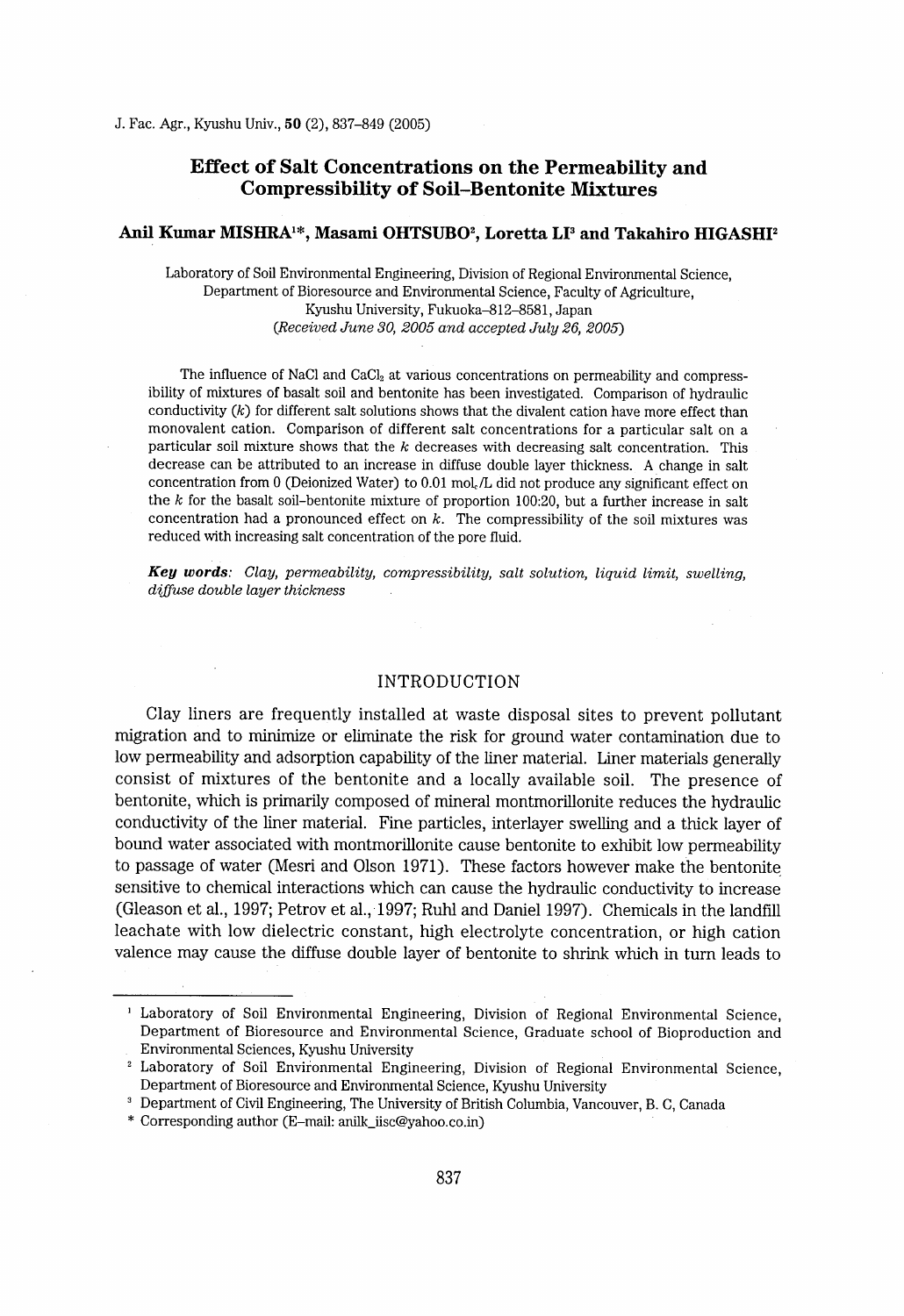# Effect of Salt Concentrations on the Permeability and Cornpressibility of Soil-Bentonite Mixtures

# Anil Kumar MISHRA<sup>1\*</sup>, Masami OHTSUBO<sup>2</sup>, Loretta LI<sup>3</sup> and Takahiro HIGASHI<sup>2</sup>

Laboratory of Soil Environmental Engineering, Division of Regional Environrnental Science, Department of Bioresource and Environmental Science, Faculty of Agriculture, Kyushu University, Fukuoka-812-8581 , Japan (Received June 30, 2005 and accepted July 26, 2005)

The influence of NaCl and  $CaCl<sub>2</sub>$  at various concentrations on permeability and compressibility of mixtures of basalt soil and bentonite has been investigated. Comparison of hydraulic conductivity  $(k)$  for different salt solutions shows that the divalent cation have more effect than monovalent cation. Comparison of different salt concentrations for a particular salt on a particular soil mixture shows that the  $k$  decreases with decreasing salt concentration. This decrease can be attributed to an increase in diffuse double layer thickness. A change in salt concentration from O (Deionized Water) to 0.01 moL/L did not produce any significant effect on the  $k$  for the basalt soil-bentonite mixture of proportion 100:20, but a further increase in salt concentration had a pronounced effect on  $k$ . The compressibility of the soil mixtures was reduced with increasing salt concentration of the pore fluid.

Key words: Clay, permeability, compressibility, salt solution, liquid limit, swelling, diffuse double layer thickness

#### INTRODUCTION

Clay liners are frequently installed at waste disposal sites to prevent pollutant migration and to minimize or eliminate the risk for ground water contamination due to 10w permeability and adsorption capability of the liner material. Liner materials generally consist of mixtures of the bentonite and a locally available soil. The presence of bentonite, which is primarily composed of mineral montmorillonite reduces the hydraulic conductivity of the liner material. Fine particles, interlayer swelling and a thick layer of bound water associated with montmorillonite cause bentonite to exhibit low permeability to passage of water (Mesri and Olson 1971). These factors however make the bentonite sensitive to chemical interactions which can cause the hydraulic conductivity to increase (Gleason et al., 1997; Petrov et al., 1997; Ruhl and Daniel 1997). Chemicals in the landffl leachate with low dielectric constant, high electrolyte concentration, or high cation valence may cause the diffuse double layer of bentonite to shrink which in turn leads to

l Laboratory of Soil Environmental Engineering, Division of Regional Environmental Science, Department of Bioresource and Environmental Science, Graduate school of Bioproduction and Environmental Sciences, Kyushu University

<sup>2</sup> Laboratory of Soil Environmental Engineering, Division of Regional Environmental Science, Department of Bioresource and Environmental Science, Kyushu University

<sup>3</sup> Department of Civil Engineering, The University of British Columbia, Vancouver, B. C, Canada

<sup>\*</sup> Corresponding author (E-mail: anilk\_iisc@yahoo.co.in)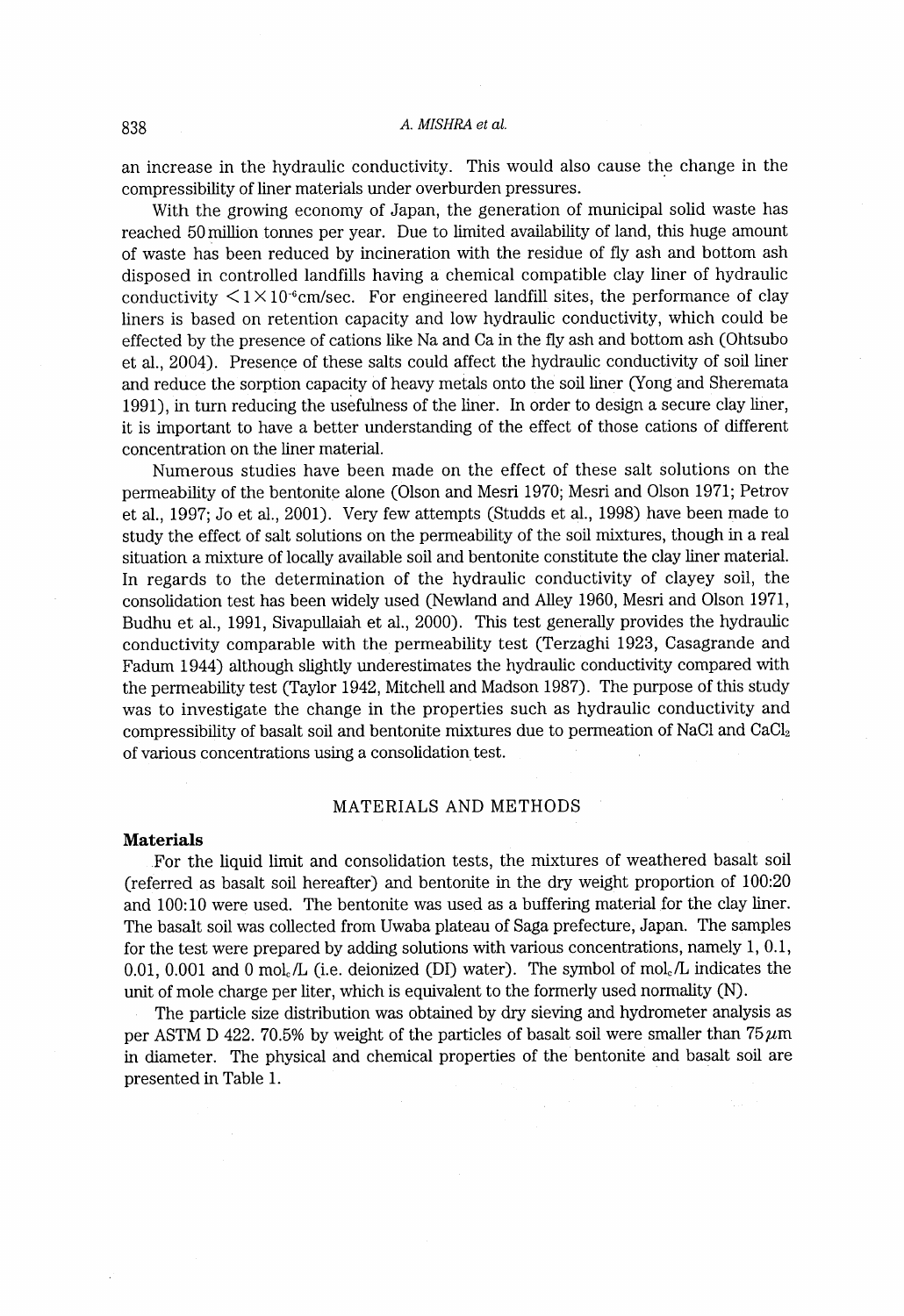an increase in the hydraulic conductivity. This would also cause the change in the compressibility of liner materials under overburden pressures.

With the growing economy of Japan, the generation of municipal solid waste has reached 50 million tonnes per year. Due to limited availabllity of land, this huge amount of waste has been reduced by incineration with the residue of fly ash and bottom ash disposed in controlled landfills having a chemical compatible clay liner of hydraulic conductivity  $\leq 1 \times 10^{-6}$ cm/sec. For engineered landfill sites, the performance of clay liners is based on retention capacity and low hydraulic conductivity, which could be effected by the presence of cations like Na and Ca in the fly ash and bottom ash (Ohtsubo et al., 2004). Presence of these salts could affect the hydrauhc conductivity of soil liner and reduce the sorption capacity of heavy metals onto the soil liner (Yong and Sheremata 1991), in turn reducing the usefulness of the liner. In order to design a secure clay liner, it is important to have a better understanding of the effect of those cations of different concentration on the liner material.

Numerous studies have been made on the effect of these salt solutions on the permeability of the bentonite alone (Olson and Mesri 1970; Mesri and Olson 1971; Petrov et al., 1997; Jo et al., 2001). Very few attempts (Studds et al., 1998) have been made to study the effect of salt solutions on the permeability of the soil mixtures, though in a real situation a mixture of locally available soil and bentonite constitute the clay liner material. In regards to the determination of the hydraulic conductivity of clayey soil, the consolidation test has been widely used (Newland and Alley 1960, Mesri and Olson 1971, Budhu et al., 1991, Sivapullaiah et al., 2000). This test generally provides the hydraulic conductivity comparable with the permeability test (Terzaghi 1923, Casagrande and Fadum 1944) although slightly underestimates the hydraulic conductivity compared with the permeability test (Taylor 1942, Mitchell and Madson 1987) . The purpose of this study was to investigate the change in the properties such as hydraulic conductivity and compressibility of basalt soil and bentonite mixtures due to permeation of NaCl and  $CaCl<sub>2</sub>$ of various concentrations using a consolidation, test.

#### MATERIALS AND METHODS

#### Materials

For the liquid limit and consolidation tests, the mixtures of weathered basalt soil (referred as basalt soil hereafter) and bentonite in the dry weight proportion of 100:20 and 100:10 were used. The bentonite was used as a buffering material for the clay liner. The basalt soil was collected from Uwaba plateau of Saga prefecture, Japan. The samples for the test were prepared by adding solutions with various concentrations, namely 1, 0.1, 0.01, 0.001 and 0 mol./L (i.e. deionized (DI) water). The symbol of mol./L indicates the unit of mole charge per liter, which is equivalent to the formerly used normality (N).

The particle size distribution was obtained by dry sieving and hydrometer analysis as per ASTM D 422. 70.5% by weight of the particles of basalt soil were smaller than  $75~\mu$ m in diameter. The physical and chemical properties of the bentonite and basalt soil are presented in Table 1.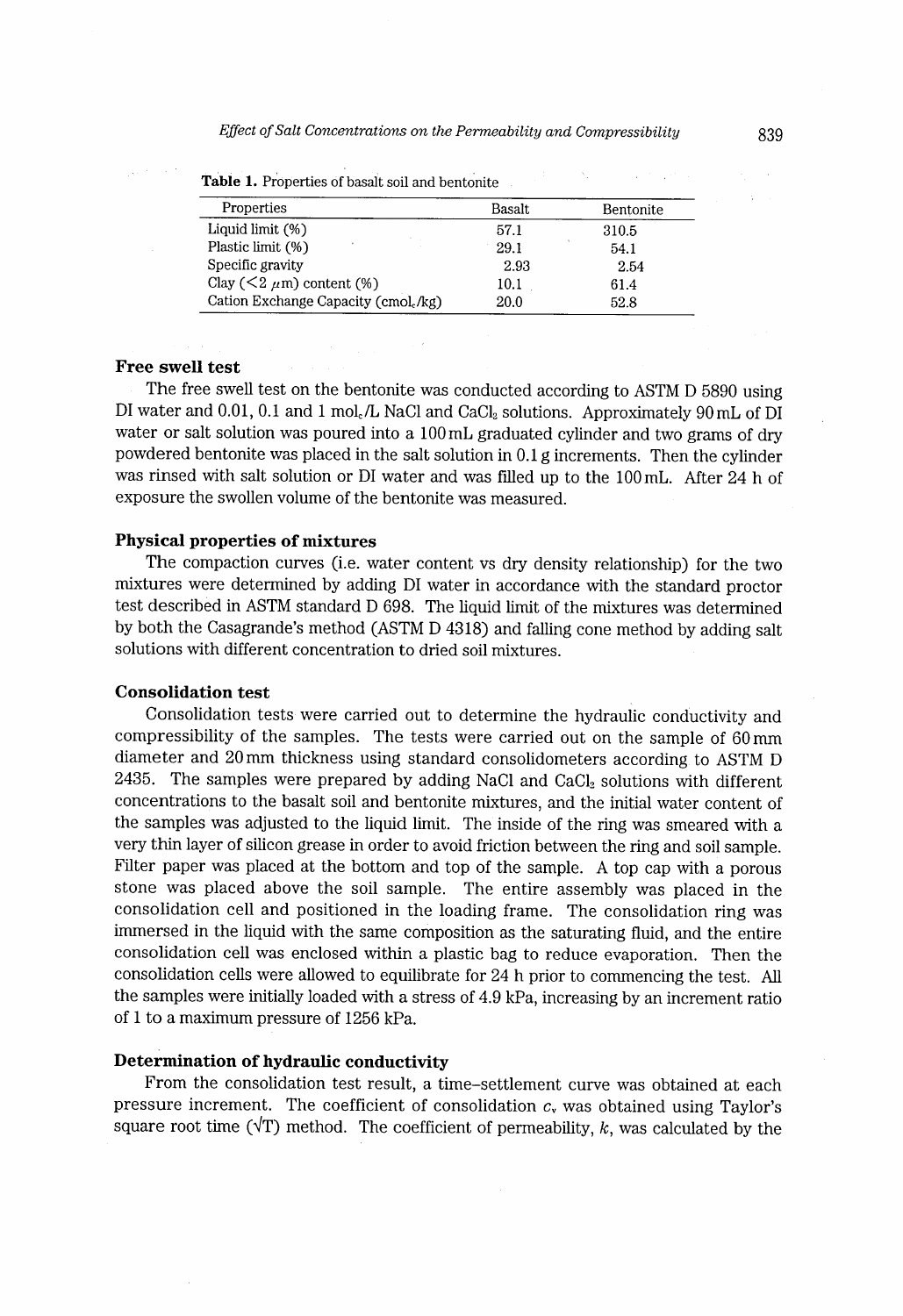| Properties                           | Basalt | Bentonite |
|--------------------------------------|--------|-----------|
| Liquid limit (%)                     | 57.1   | 310.5     |
| Plastic limit (%)                    | 29.1   | 54.1      |
| Specific gravity                     | 2.93   | 2.54      |
| Clay ( $\leq$ 2 $\mu$ m) content (%) | 10.1   | 61.4      |
| Cation Exchange Capacity (cmol./kg)  | 20.0   | 52.8      |

Table 1. Properties of basalt soil and bentonite

# Free swell test

The free swell test on the bentonite was conducted according to ASTM D 5890 using DI water and 0.01, 0.1 and 1 mol./L NaCl and CaCl<sub>2</sub> solutions. Approximately 90 mL of DI water or salt solution was poured into a 100mL graduated cylinder and two grams of dry powdered bentonite was placed in the salt solution in 0.1 g increments. Then the cylinder was rinsed with salt solution or DI water and was filled up to the 100mL. After 24 h of exposure the swollen volume of the bentonite was measured.

#### Physical properties of mixtures

The compaction curves (i.e. water content vs dry density relationship) for the two mixtures were determined by adding DI water in accordance with the standard proctor test described in ASTM standard D 698. The liquid limit of the mixtures was determined by both the Casagrande's method (ASTM D 4318) and falling cone method by adding salt solutions with different concentration to dried soil mixtures.

### Consolidation test

Consolidation tests were carried out to determine the hydraulic conductivity and compressibility of the samples. The tests were carried out on the sample of 60mm diameter and 20mm thickness using standard consolidometers according to ASTM D 2435. The samples were prepared by adding NaCl and CaCl, solutions with different concentrations to the basalt soil and bentonite mixtures, and the initial water content of the samples was adjusted to the liquid limit. The inside of the ring was smeared wlth a very thin layer of silicon grease in order to avoid friction between the ring and soil sample. Filter paper was placed at the bottom and top of the sample. A top cap with a porous stone was placed above the soil sample. The entire assembly was placed in the consolidation cell and positioned in the loading frame. The consolidation ring was irnmersed in the liquid with the same composition as the saturating fluid, and the entire consolidation cell was enclosed within a plastic bag to reduce evaporation. Then the consolidation cells were allowed to equilibrate for 24 h prior to commencing the test. ALl the samples were initially loaded with a stress of 4.9 kPa, increasing by an increment ratio of I to a maximum pressure of 1256 kPa.

#### Determination of hydraulic conductivity

From the consolidation test result, a time-settlement curve was obtained at each pressure increment. The coefficient of consolidation  $c<sub>v</sub>$  was obtained using Taylor's square root time ( $\sqrt{T}$ ) method. The coefficient of permeability, k, was calculated by the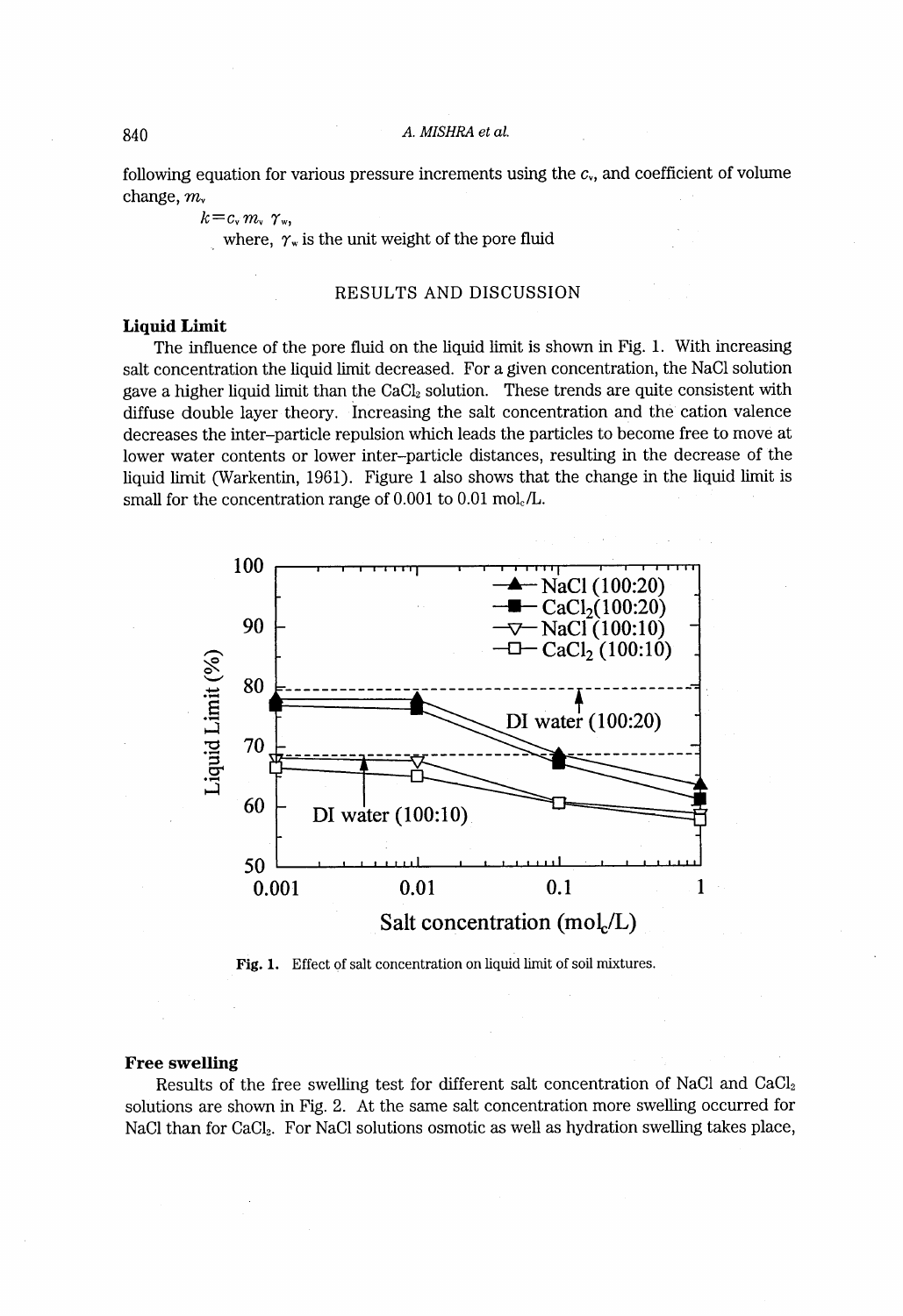#### 840 A. MISHRA et al.

following equation for various pressure increments using the  $c<sub>v</sub>$ , and coefficient of volume change, m.

 $k = c_{\rm v} m_{\rm v} \gamma_{\rm w}$ 

where,  $\gamma_{w}$  is the unit weight of the pore fluid

#### RESULTS AND DISCUSSION

#### Liquid Limit

The influence of the pore fluid on the liquid limit is shown in Fig. 1. With increasing salt concentration the liquid limit decreased. For a given concentration, the NaCl solution gave a higher liquid limit than the  $CaCl<sub>2</sub>$  solution. These trends are quite consistent with diffuse double layer theory. Increasing the salt concentration and the cation valence decreases the inter-particle repulsion which leads the particles to become free to move at lower water contents or lower inter-particle distances, resulting in the decrease of the liquid limit (Warkentin, 1961). Figure I also shows that the change in the liquid limit is small for the concentration range of 0.001 to 0.01 mol. /L.



Fig. 1. Effect of salt concentration on liquid limit of soil mixtures.

### Free swelling

Results of the free swelling test for different salt concentration of NaC1 and CaC12 solutions are shown in Fig. 2. At the sarne salt concentration more swelling occurred for NaCl than for CaCl<sub>2</sub>. For NaCl solutions osmotic as well as hydration swelling takes place,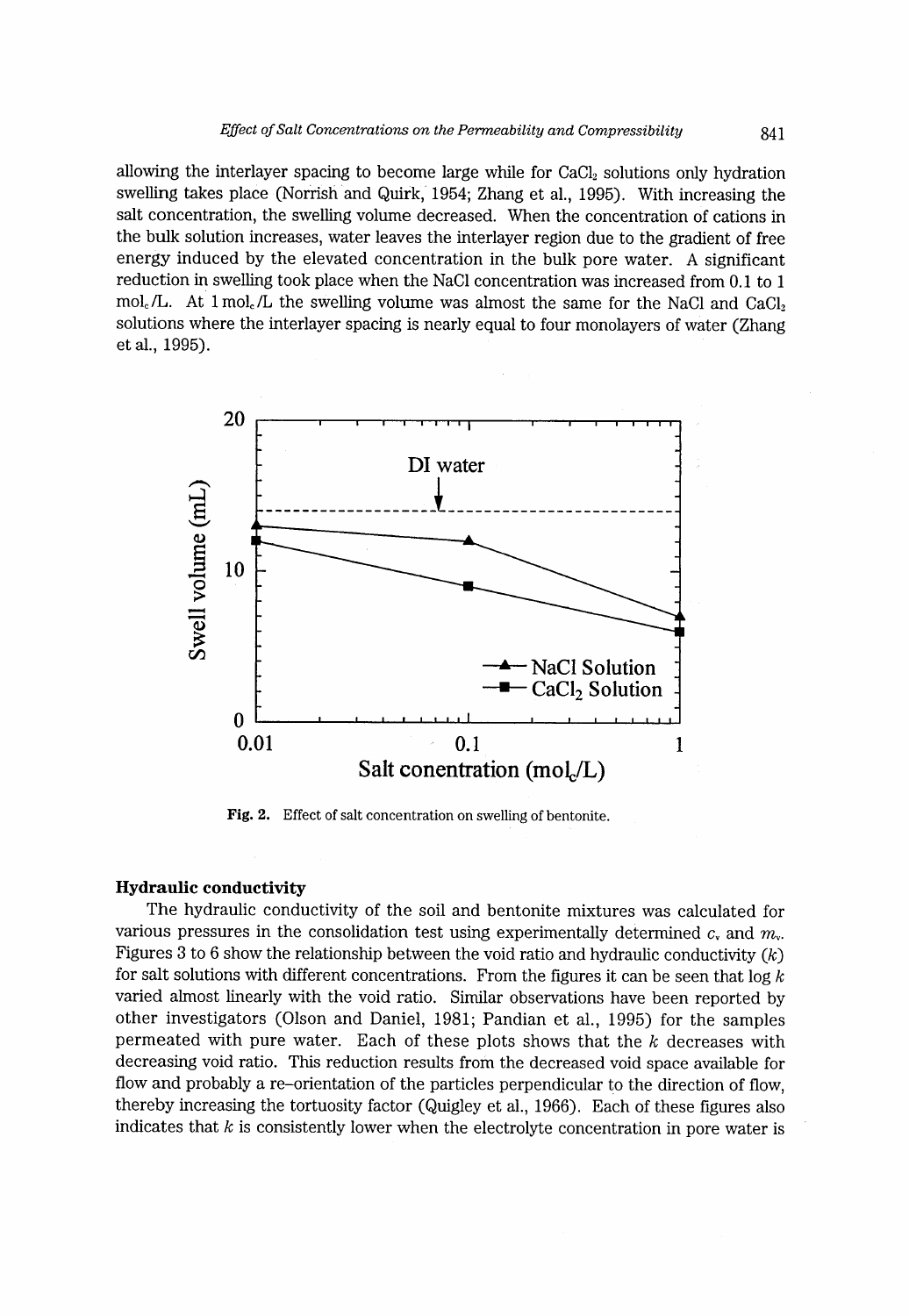allowing the interlayer spacing to become large while for  $CaCl<sub>2</sub>$  solutions only hydration swelling takes place (Norrish and Quirk, 1954; Zhang et al., 1995). With increasing the salt concentration, the swelling volume decreased. When the concentration of cations in the bulk solution increases, water leaves the interlayer region due to the gradient of free energy induced by the elevated concentration in the bulk pore water. A significant reduction in swelling took place when the NaCl concentration was increased from 0.1 to 1 mol. /L. At  $1 \text{ mol}$ . /L the swelling volume was almost the same for the NaCl and CaCl<sub>2</sub> solutions where the interlayer spacing is nearly equal to four monolayers of water (Zhang et al., 1995).



Fig. 2. Effect of salt concentration on swelling of bentonite.

#### Hydraulic conductivity

The hydraulic conductivity of the soil and bentonite mixtures was calculated for various pressures in the consolidation test using experimentally determined c, and  $m_{\nu}$ . Figures 3 to 6 show the relationship between the void ratio and hydraulic conductivity  $(k)$ for salt solutions with different concentrations. From the figures it can be seen that  $\log k$ varied almost linearly with the void ratio. Similar observations have been reported by other investigators (Olson and Daniel, 1981; Pandian et al., 1995) for the samples permeated with pure water. Each of these plots shows that the  $k$  decreases with decreasing void ratio. This reduction results from the decreased void space available for flow and probably a re-orientation of the particles perpendicular to the direction of flow, thereby increasing the tortuosity factor (Quigley et al., 1966). Each of these figures also indicates that  $k$  is consistently lower when the electrolyte concentration in pore water is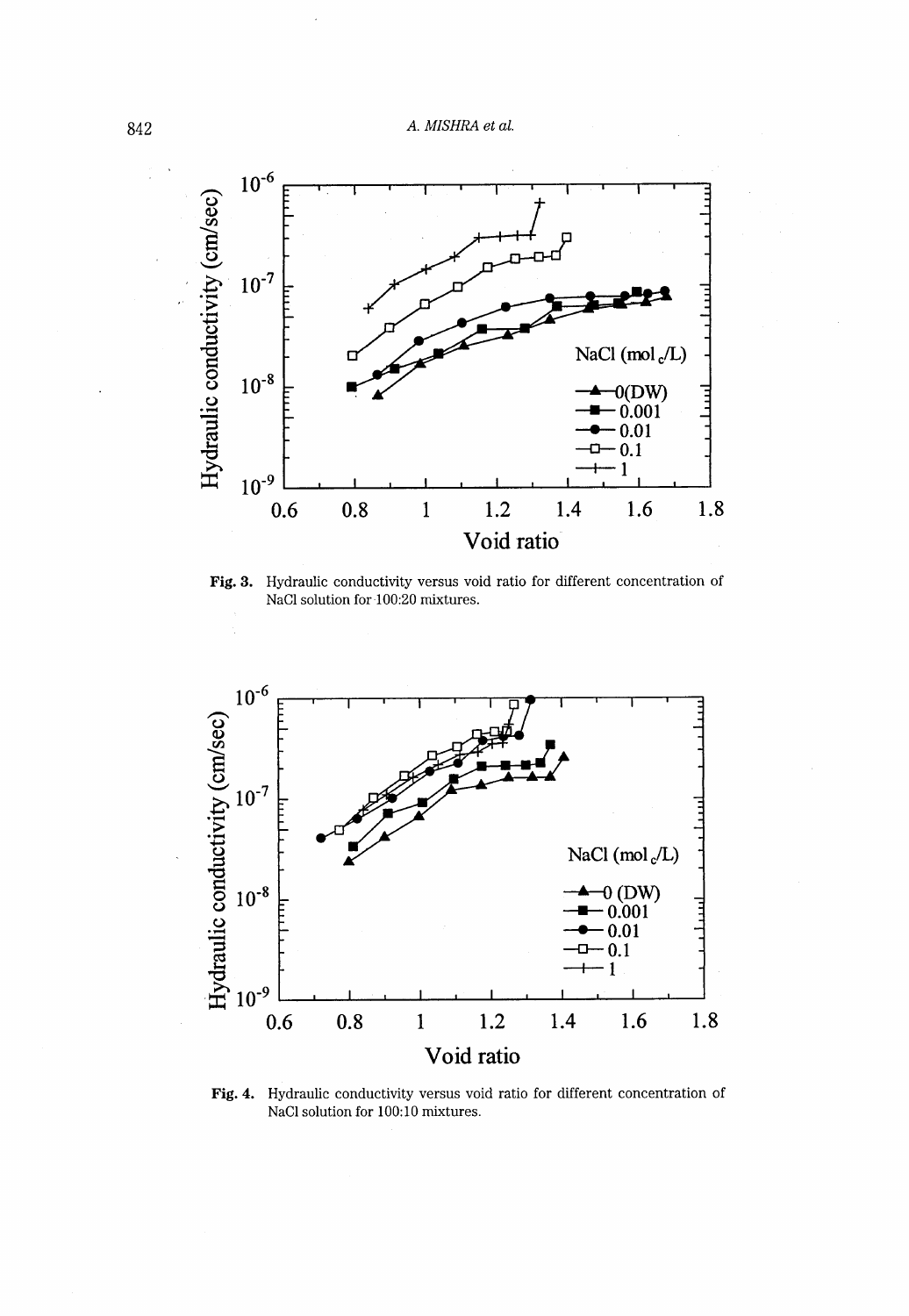

Fig. 3. Hydraulic conductivity versus void ratio for different concentration of NaCl solution for 100:20 mixtures.



Fig. 4. Hydraulic conductivity versus void ratio for different concentration of NaCl solution for 100:10 mixtures.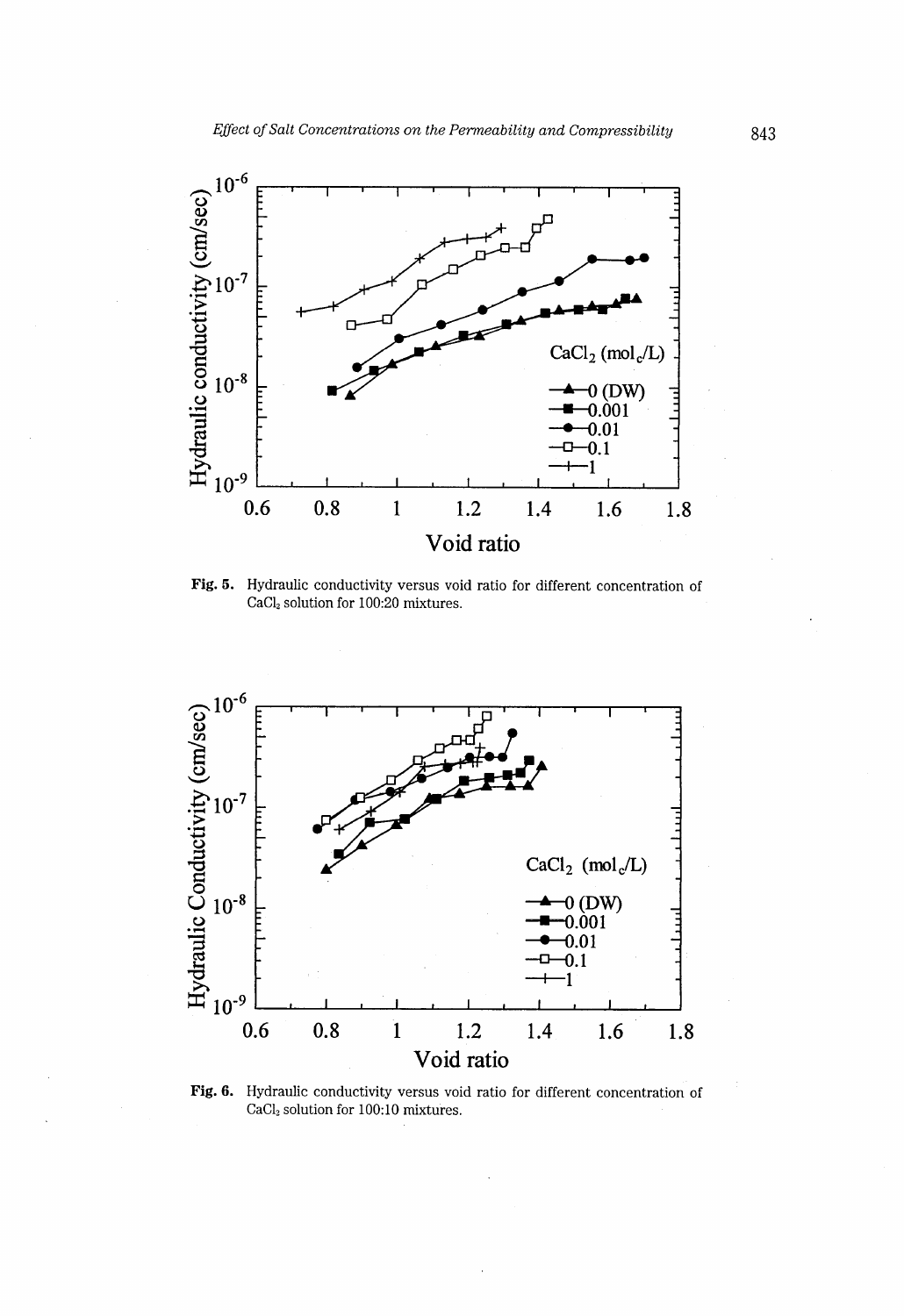

Hydraulic conductivity versus void ratio for different concentration of Fig. 5. CaCl<sub>2</sub> solution for 100:20 mixtures.



CaCl<sub>2</sub> solution for 100:10 mixtures.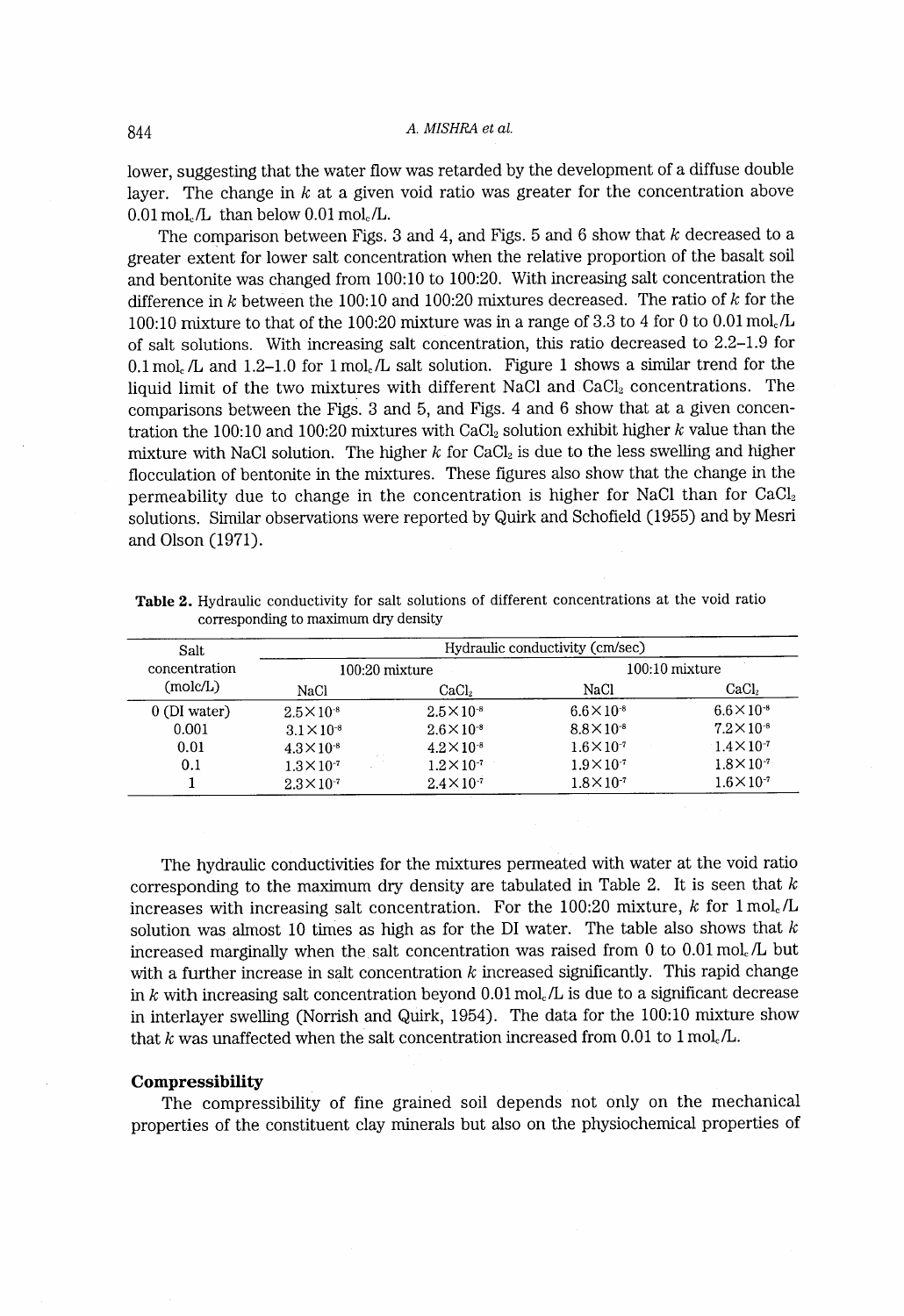lower, suggesting that the water flow was retarded by the development of a diffuse double layer. The change in  $k$  at a given void ratio was greater for the concentration above  $0.01 \,\mathrm{mol}_c/L$  than below  $0.01 \,\mathrm{mol}_c/L$ .

The comparison between Figs. 3 and 4, and Figs. 5 and 6 show that  $k$  decreased to a greater extent for lower salt concentration when the relative proportion of the basalt soil and bentonite was changed from 100:10 to 100:20. With increasing salt concentration the difference in  $k$  between the 100:10 and 100:20 mixtures decreased. The ratio of  $k$  for the 100:10 mixture to that of the 100:20 mixture was in a range of 3.3 to 4 for O to 0.01 mol./L of salt solutions. With increasing salt concentration, this ratio decreased to 2.2-1.9 for 0.1 mol<sub>c</sub>  $/L$  and 1.2-1.0 for 1 mol<sub>c</sub>  $/L$  salt solution. Figure 1 shows a similar trend for the liquid limit of the two mixtures with different NaC1 and CaCl, concentrations. The comparisons between the Figs. 3 and 5, and Figs. 4 and 6 show that at a given concentration the 100:10 and 100:20 mixtures with CaCl<sub>2</sub> solution exhibit higher  $k$  value than the mixture with NaCl solution. The higher  $k$  for CaCl<sub>2</sub> is due to the less swelling and higher flocculation of bentonite in the mixtures. These figures also show that the change in the permeability due to change in the concentration is higher for NaCl than for CaCl<sub>2</sub> solutions. Similar observations were reported by Quirk and Schofield (1955) and by Mesri and Olson (1971).

| Salt<br>concentration<br>(molc/L) | Hydraulic conductivity (cm/sec) |                      |                      |                      |  |
|-----------------------------------|---------------------------------|----------------------|----------------------|----------------------|--|
|                                   | $100:20$ mixture                |                      | $100:10$ mixture     |                      |  |
|                                   | NaCl                            | CaCl <sub>2</sub>    | NaCl                 | CaCl <sub>2</sub>    |  |
| $0$ (DI water)                    | $2.5 \times 10^{-8}$            | $2.5 \times 10^{-8}$ | $6.6\times10^{-8}$   | $6.6 \times 10^{-8}$ |  |
| 0.001                             | $3.1 \times 10^{-8}$            | $2.6 \times 10^{-8}$ | $8.8 \times 10^{-8}$ | $7.2 \times 10^{-8}$ |  |
| 0.01                              | $4.3 \times 10^{-8}$            | $4.2 \times 10^{-8}$ | $1.6 \times 10^{7}$  | $1.4 \times 10^{-7}$ |  |
| 0.1                               | $1.3 \times 10^{-7}$            | $1.2 \times 10^{-7}$ | $1.9 \times 10^{-7}$ | $1.8 \times 10^{-7}$ |  |
|                                   | $2.3 \times 10^{-7}$            | $2.4 \times 10^{-7}$ | $1.8 \times 10^{-7}$ | $1.6 \times 10^{-7}$ |  |

Table 2. Hydraulic conductivity for salt solutions of different concentrations at the void ratio corresponding to maxirnum dry density

The hydraulic conductivities for the mixtures permeated with water at the void ratio corresponding to the maximum dry density are tabulated in Table 2. It is seen that  $k$ increases with increasing salt concentration. For the 100:20 mixture, k for  $1 \text{ mol}_c/L$ solution was almost 10 times as high as for the DI water. The table also shows that  $k$ increased marginally when the salt concentration was raised from O to 0.01 mol. /L but with a further increase in salt concentration  $k$  increased significantly. This rapid change in k with increasing salt concentration beyond  $0.01 \text{ mol}_{\epsilon}/\text{L}$  is due to a significant decrease in interlayer swelling (Norrish and Quirk,  $1954$ ). The data for the  $100:10$  mixture show that k was unaffected when the salt concentration increased from 0.01 to 1 mol.  $/L$ .

#### Compressibility

The compressibility of fine grained soil depends not only on the mechanical properties of the constituent clay minerals but also on the physiochemical properties of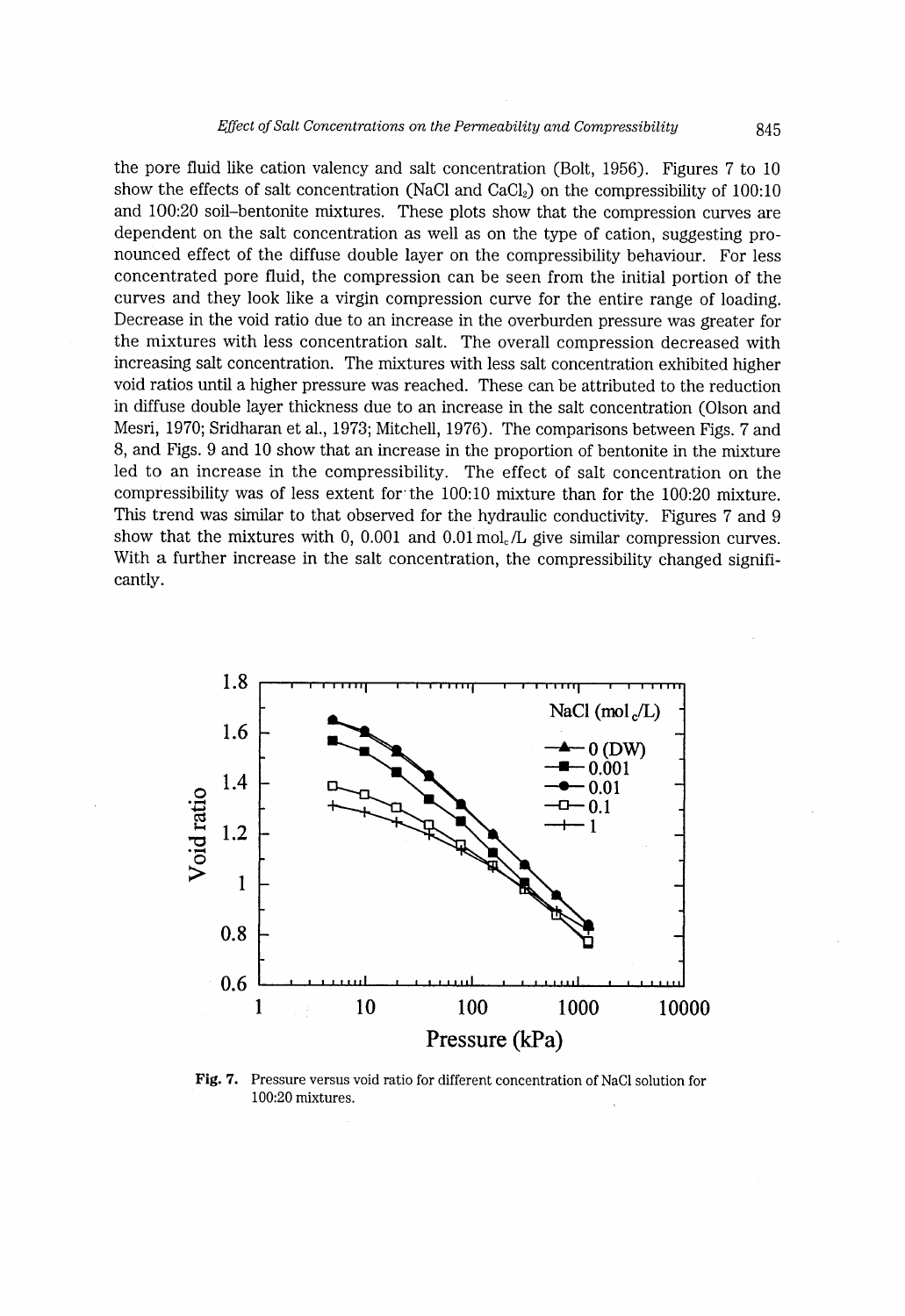the pore fluid like cation valency and salt concentration (Bolt, 1956). Figures 7 to 10 show the effects of salt concentration (NaC1 and CaC12) on the compressibility of 100:10 and 100:20 soil-bentonite mixtures. These plots show that the compression curves are dependent on the salt concentration as well as on the type of cation, suggesting pronounced effect of the diffuse double layer on the compressibility behaviour. For less concentrated pore fluid, the compression can be seen from the initial portion of the curves and they look like a virgin compression curve for the entire range of loading. Decrease in the void ratio due to an increase in the overburden pressure was greater for the mixtures with less concentration salt. The overall compression decreased with increasing salt concentration. The mixtures with less salt concentration exhibited higher void ratios until a higher pressure was reached. These can be attributed to the reduction in diffuse double layer thickness due to an increase in the salt concentration (Olson and Mesri, 1970; Sridharan et al., 1973; Mitchell, 1976). The comparisons between Figs. 7 and 8, and Figs. 9 and 10 show that an increase in the proportion of bentonite in the mixture led to an increase in the compressibility. The effect of salt concentration on the compressibility was of less extent for'the 100:10 mixture than for the 100:20 mixture. This trend was similar to that observed for the hydraulic conductivity. Figures 7 and 9 show that the mixtures with 0, 0.001 and  $0.01 \text{ mol}_c/L$  give similar compression curves. With a further increase in the salt concentration, the compressibility changed significantly.



Fig. 7. Pressure versus void ratio for different concentration of NaCl solution for 100:20 mixtures.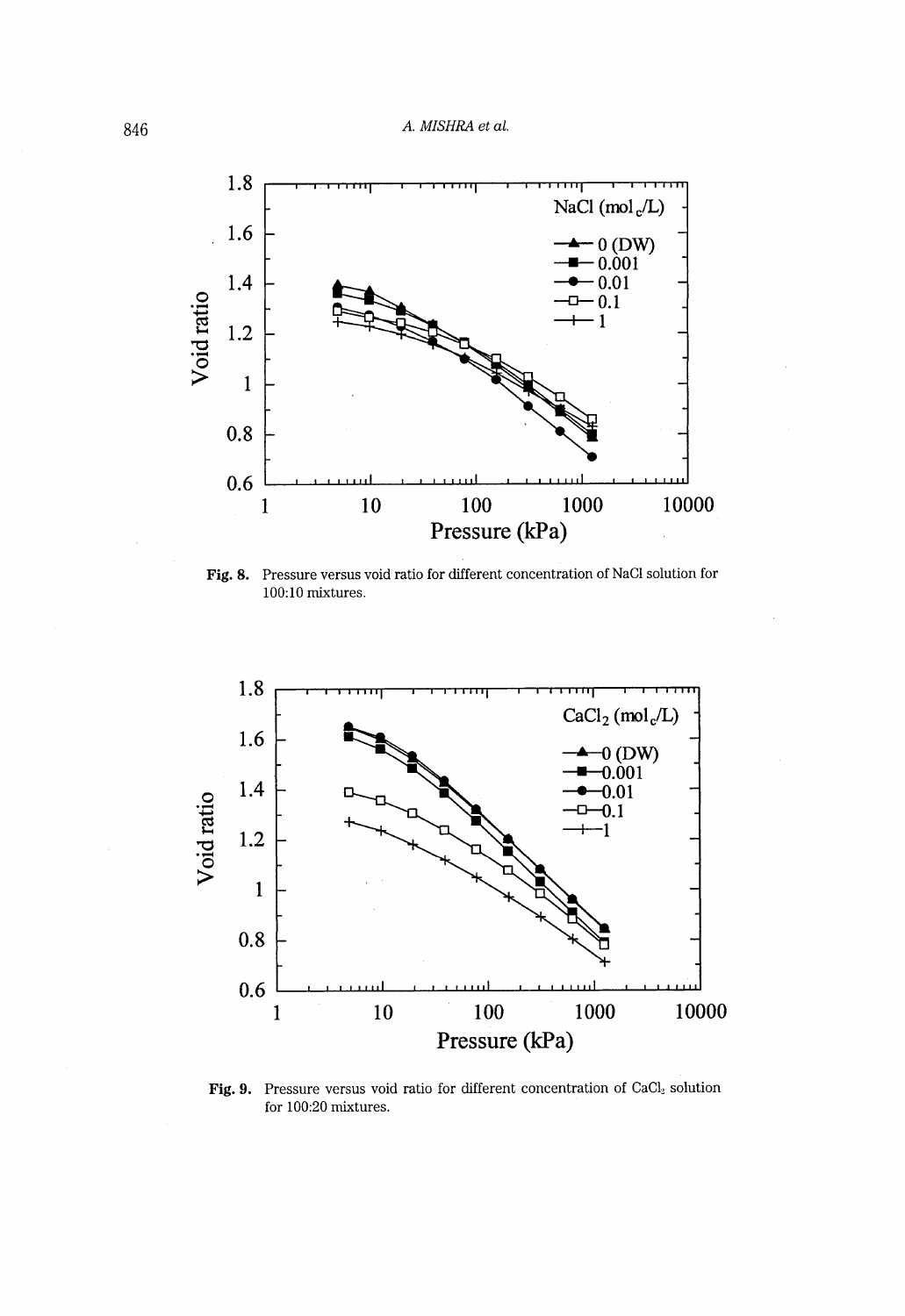

Fig. 8. pressure versus void ratio tor different concentration ot Nacl sotution tor  $100:10$  mixtures.



Fig. 9. Pressure versus void ratio for different concentration of CaC12 solution for 100:20 mixtures.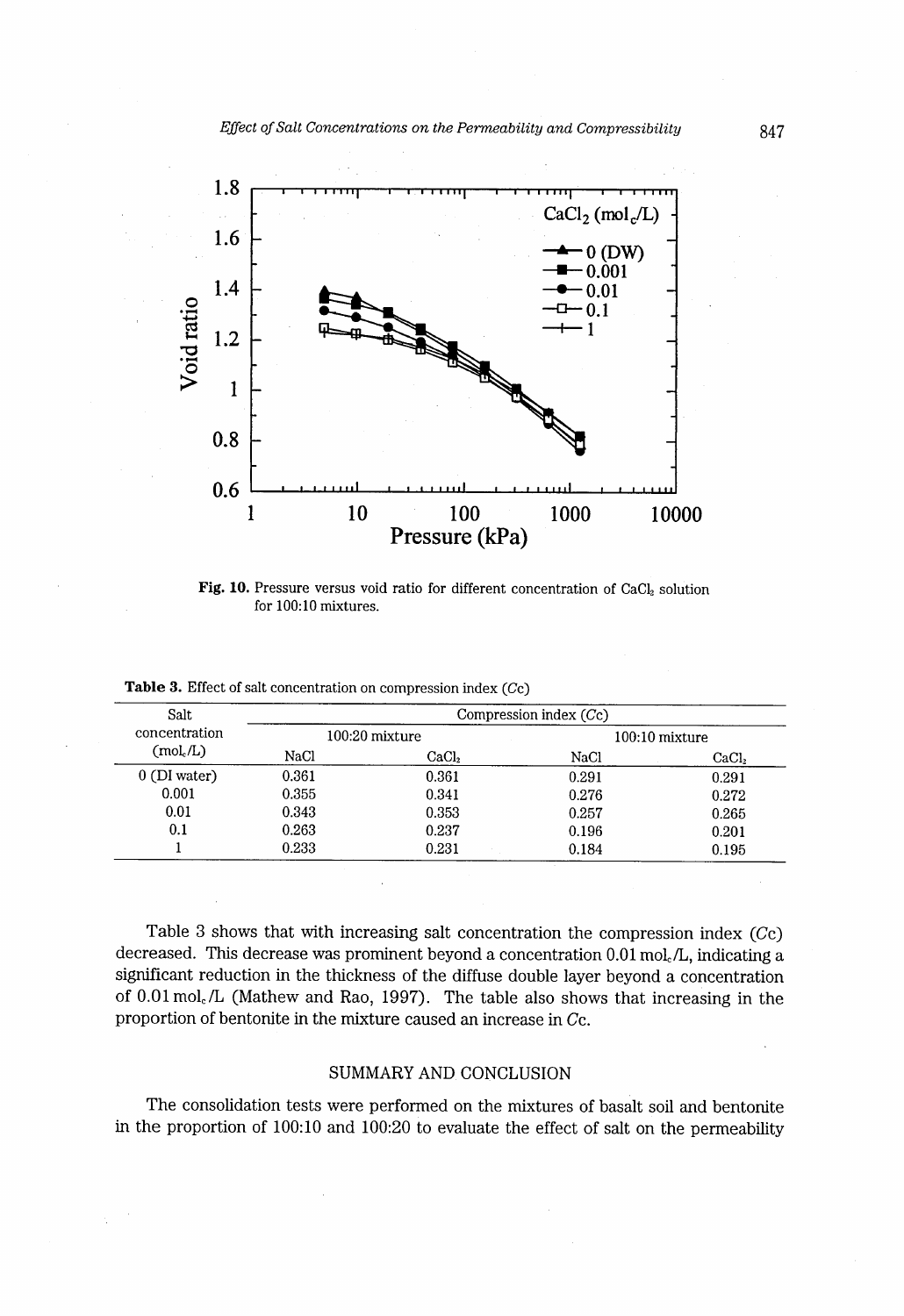

Fig. 10. Pressure versus void ratio for different concentration of  $CaCl<sub>2</sub>$  solution for 100:10 mixtures.

| Salt<br>concentration<br>(mol./L) | Compression index (Cc) |                   |                  |                   |
|-----------------------------------|------------------------|-------------------|------------------|-------------------|
|                                   | 100:20 mixture         |                   | $100:10$ mixture |                   |
|                                   | NaCl                   | CaCl <sub>2</sub> | NaCl             | CaCl <sub>2</sub> |
| $0$ (DI water)                    | 0.361                  | 0.361             | 0.291            | 0.291             |
| 0.001                             | 0.355                  | 0.341             | 0.276            | 0.272             |
| 0.01                              | 0.343                  | 0.353             | 0.257            | 0.265             |
| 0.1                               | 0.263                  | 0.237             | 0.196            | 0.201             |
|                                   | 0.233                  | 0.231             | 0.184            | 0.195             |

Table 3. Effect of salt concentration on compression index (Cc)

Table 3 shows that with increasing salt concentration the compression index (Cc) decreased. This decrease was prominent beyond a concentration  $0.01 \text{ mol}_c/L$ , indicating a significant reduction in the thickness of the diffuse double layer beyond a concentration of  $0.01$  mol. *L* (Mathew and Rao, 1997). The table also shows that increasing in the proportion of bentonite in the mixture caused an increase in Cc.

### SUMMARY AND CONCLUSION

The consolidation tests were performed on the mixtures of basalt soil and bentonite in the proportion of 100:10 and 100:20 to evaluate the effect of salt on the permeability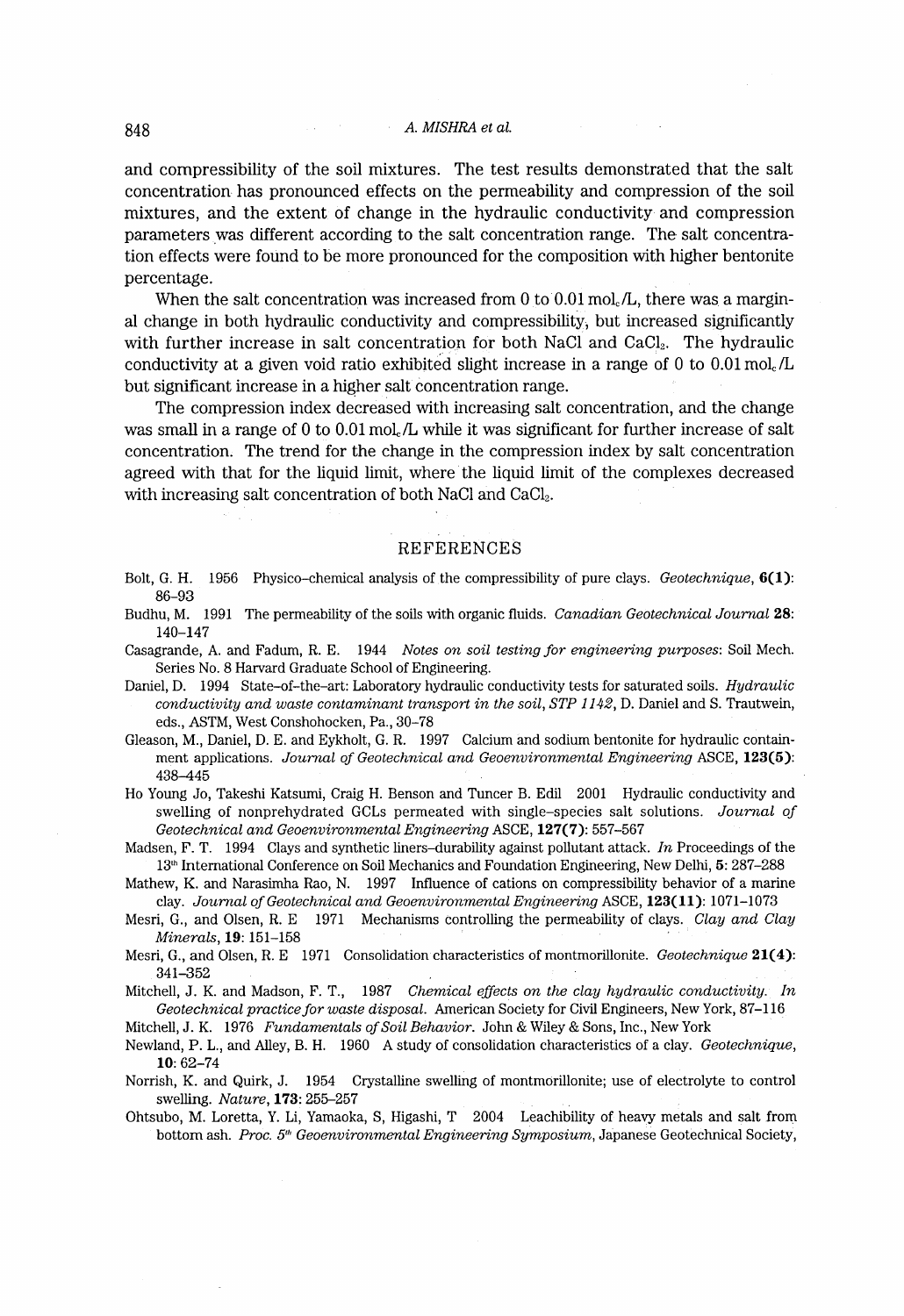and compressibility of the soil mixtures. The test results demonstrated that the salt concentration has pronounced effects on the permeability and compression of the soil mixtures, and the extent of change in the hydraulic conductivity and compression parameters was different according to the salt concentration range. The salt concentration effects were found to be more pronounced for the composition with higher bentonite percentage .

When the salt concentration was increased from 0 to  $0.01 \text{ mol}_c/L$ , there was a marginal change in both hydraulic conductivity and compressibility, but increased significantly with further increase in salt concentration for both NaCl and CaCl<sub>2</sub>. The hydraulic conductivity at a given void ratio exhibited slight increase in a range of 0 to 0.01 mol.  $/L$ but significant increase in a higher salt concentration range.

The compression index decreased with increasing salt concentration, and the change was small in a range of 0 to  $0.01$  mol<sub>c</sub>/L while it was significant for further increase of salt concentration. The trend for the change in the compression index by salt concentration agreed with that for the liquid limit, where the liquid lirnit of the complexes decreased with increasing salt concentration of both NaCl and CaCl<sub>2</sub>.

#### REFERENCES

- Bolt, G. H. 1956 Physico-chemical analysis of the compressibility of pure clays. Geotechnique, 6(1): 86-93
- Budhu, M. 1991 The permeability of the soils with organic fluids. Canadian Geotechnical Journal 28: 140-147
- Casagrande, A. and Fadum, R. E. 1944 Notes on soil testing for engineering purposes: Soil Mech. Series No. 8 Harvard Graduate School of Engineering.
- Daniel, D. 1994 State-of-the-art: Laboratory hydraulic conductivity tests for saturated soils. Hydraulic conductivity and waste contaminant transport in the soil, STP 1142, D. Daniel and S. Trautwein, eds., ASTM, West Conshohocken. Pa., 30-78
- Gleason, M., Daniel, D. E. and Eykholt, G. R. 1997 Calcium and sodium bentonite for hydraulic containment applications. Journal of Geotechnical and Geoenvironmental Engineering ASCE, 123(5): 438~145
- Ho Young Jo, Takeshi Katsumi, Craig H. Benson and Tuncer B. Edil 2001 Hydraulic conductivity and swelling of nonprehydrated GCLS permeated with single-species salt solutions. Journal of Geotechnical and Geoenvironmental Engineering ASCE, 127(7): 557-567
- Madsen, F. T. 1994 Clays and synthetic liners-durability against pollutant attack. In Proceedings of the 13<sup>th</sup> International Conference on Soil Mechanics and Foundation Engineering, New Delhi, 5: 287–288
- Mathew, K. and Narasimha Rao, N. 1997 Influence of cations on compressibility behavior of a marine clay. Journal of Geotechnical and Geoenvironmental Engineering ASCE, 123(11): 1071-1073
- Mesri, G., and Olsen, R. E 1971 Mechanisms controlling the permeability of clays. Clay and Clay Minerals, 19: 151-158
- Mesri, G., and Olsen, R. E 1971 Consolidation characteristics of montmorillonite. Geotechnique 21(4): 341~52

Mitchell, J. K. and Madson, F. T., 1987 Chemical effects on the clay hydraulic conductivity. In Geotechnical practice for waste disposal. American Society for Civil Engineers, New York, 87–116

Mitchell, J. K. 1976 Fundamentals of Soil Behavior. John & Wiley & Sons, Inc., New York

- Newland, P. L., and Alley, B. H. 1960 A study of consolidation characteristics of a clay. Geotechnique, lO: 62-74
- Norrish, K. and Quirk, J. 1954 Crystalline swelling of montmorillonite; use of electrolyte to control swelling. Nature, 173: 255-257
- Ohtsubo, M. Loretta, Y. Li, Yamaoka, S, Higashi, T 2004 Leachibility of heavy metals and salt from bottom ash. Proc. 5<sup>th</sup> Geoenvironmental Engineering Symposium, Japanese Geotechnical Society,